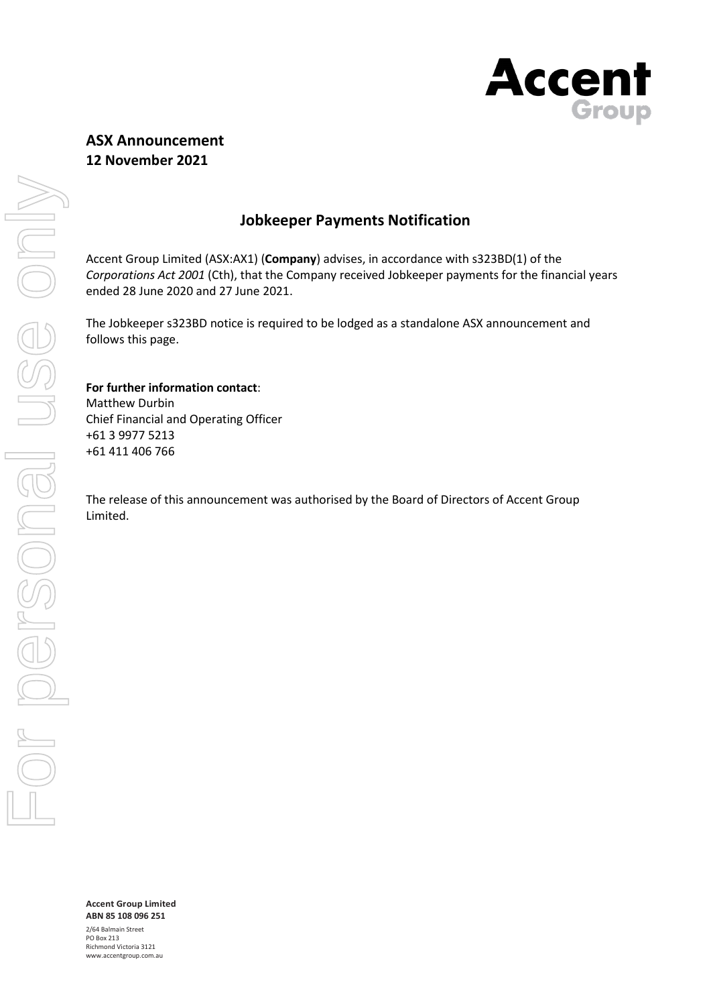

# **ASX Announcement 12 November 2021**

## **Jobkeeper Payments Notification**

Accent Group Limited (ASX:AX1) (**Company**) advises, in accordance with s323BD(1) of the *Corporations Act 2001* (Cth), that the Company received Jobkeeper payments for the financial years ended 28 June 2020 and 27 June 2021.

The Jobkeeper s323BD notice is required to be lodged as a standalone ASX announcement and follows this page.

#### **For further information contact**:

Matthew Durbin Chief Financial and Operating Officer +61 3 9977 5213 +61 411 406 766

The release of this announcement was authorised by the Board of Directors of Accent Group Limited.

**ABN 85 108 096 251** 2/64 Balmain Street PO Box 213 Richmond Victoria 3121 www.accentgroup.com.au